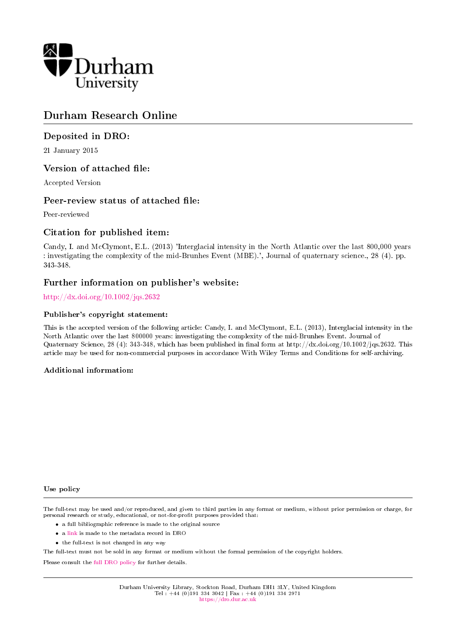

# Durham Research Online

# Deposited in DRO:

21 January 2015

## Version of attached file:

Accepted Version

## Peer-review status of attached file:

Peer-reviewed

# Citation for published item:

Candy, I. and McClymont, E.L. (2013) 'Interglacial intensity in the North Atlantic over the last 800,000 years : investigating the complexity of the mid-Brunhes Event (MBE).', Journal of quaternary science., 28 (4). pp. 343-348.

## Further information on publisher's website:

<http://dx.doi.org/10.1002/jqs.2632>

## Publisher's copyright statement:

This is the accepted version of the following article: Candy, I. and McClymont, E.L. (2013), Interglacial intensity in the North Atlantic over the last 800000 years: investigating the complexity of the mid-Brunhes Event. Journal of Quaternary Science, 28 (4): 343-348, which has been published in final form at http://dx.doi.org/10.1002/jqs.2632. This article may be used for non-commercial purposes in accordance With Wiley Terms and Conditions for self-archiving.

## Additional information:

#### Use policy

The full-text may be used and/or reproduced, and given to third parties in any format or medium, without prior permission or charge, for personal research or study, educational, or not-for-profit purposes provided that:

- a full bibliographic reference is made to the original source
- a [link](http://dro.dur.ac.uk/14242/) is made to the metadata record in DRO
- the full-text is not changed in any way

The full-text must not be sold in any format or medium without the formal permission of the copyright holders.

Please consult the [full DRO policy](https://dro.dur.ac.uk/policies/usepolicy.pdf) for further details.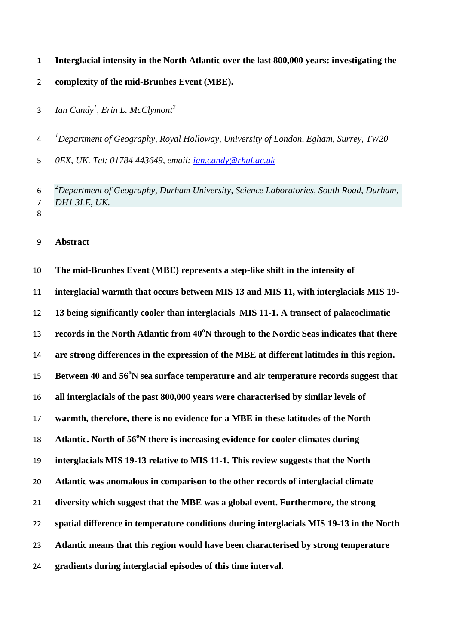- **Interglacial intensity in the North Atlantic over the last 800,000 years: investigating the**
- **complexity of the mid-Brunhes Event (MBE).**
- *Ian Candy<sup>1</sup> , Erin L. McClymont<sup>2</sup>*

*1 Department of Geography, Royal Holloway, University of London, Egham, Surrey, TW20* 

*0EX, UK. Tel: 01784 443649, email: [ian.candy@rhul.ac.uk](mailto:ian.candy@rhul.ac.uk)*

*2 Department of Geography, Durham University, Science Laboratories, South Road, Durham, DH1 3LE, UK.* 

**Abstract**

 **The mid-Brunhes Event (MBE) represents a step-like shift in the intensity of interglacial warmth that occurs between MIS 13 and MIS 11, with interglacials MIS 19- 13 being significantly cooler than interglacials MIS 11-1. A transect of palaeoclimatic records in the North Atlantic from 40<sup>o</sup>N through to the Nordic Seas indicates that there are strong differences in the expression of the MBE at different latitudes in this region. Between 40 and 56<sup>°</sup>N sea surface temperature and air temperature records suggest that all interglacials of the past 800,000 years were characterised by similar levels of warmth, therefore, there is no evidence for a MBE in these latitudes of the North Atlantic. North of 56<sup>°</sup>N there is increasing evidence for cooler climates during interglacials MIS 19-13 relative to MIS 11-1. This review suggests that the North Atlantic was anomalous in comparison to the other records of interglacial climate diversity which suggest that the MBE was a global event. Furthermore, the strong spatial difference in temperature conditions during interglacials MIS 19-13 in the North Atlantic means that this region would have been characterised by strong temperature gradients during interglacial episodes of this time interval.**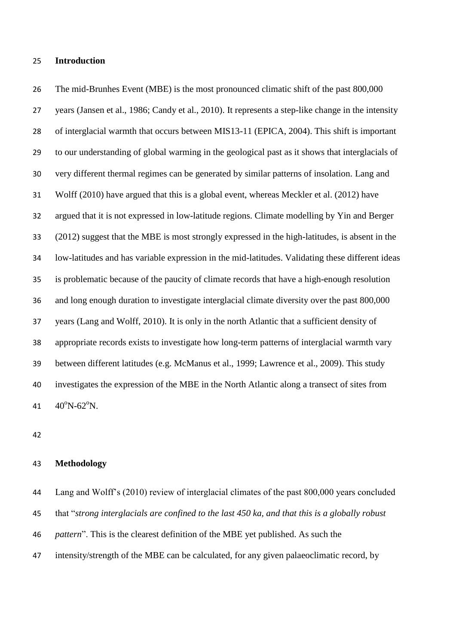### **Introduction**

26 The mid-Brunhes Event (MBE) is the most pronounced climatic shift of the past 800,000 years (Jansen et al., 1986; Candy et al., 2010). It represents a step-like change in the intensity of interglacial warmth that occurs between MIS13-11 (EPICA, 2004). This shift is important to our understanding of global warming in the geological past as it shows that interglacials of very different thermal regimes can be generated by similar patterns of insolation. Lang and Wolff (2010) have argued that this is a global event, whereas Meckler et al. (2012) have argued that it is not expressed in low-latitude regions. Climate modelling by Yin and Berger (2012) suggest that the MBE is most strongly expressed in the high-latitudes, is absent in the low-latitudes and has variable expression in the mid-latitudes. Validating these different ideas is problematic because of the paucity of climate records that have a high-enough resolution and long enough duration to investigate interglacial climate diversity over the past 800,000 years (Lang and Wolff, 2010). It is only in the north Atlantic that a sufficient density of appropriate records exists to investigate how long-term patterns of interglacial warmth vary between different latitudes (e.g. McManus et al., 1999; Lawrence et al., 2009). This study investigates the expression of the MBE in the North Atlantic along a transect of sites from  $40^{\circ}N - 62^{\circ}N$ .

## **Methodology**

 Lang and Wolff's (2010) review of interglacial climates of the past 800,000 years concluded that "*strong interglacials are confined to the last 450 ka, and that this is a globally robust pattern*". This is the clearest definition of the MBE yet published. As such the intensity/strength of the MBE can be calculated, for any given palaeoclimatic record, by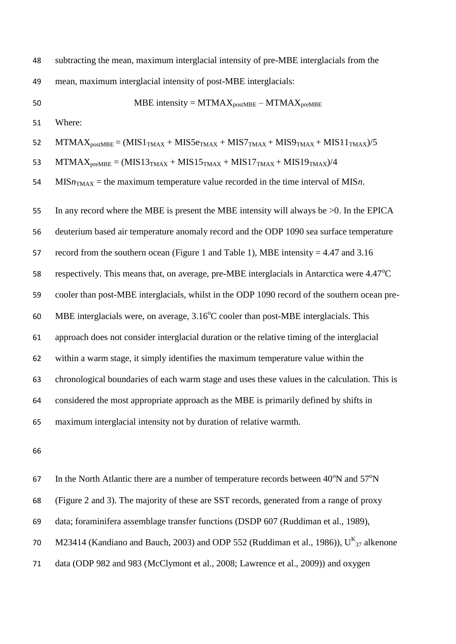| 48 | subtracting the mean, maximum interglacial intensity of pre-MBE interglacials from the        |
|----|-----------------------------------------------------------------------------------------------|
| 49 | mean, maximum interglacial intensity of post-MBE interglacials:                               |
| 50 | MBE intensity = $MTMAX_{postMBE} - MTMAX_{preMBE}$                                            |
| 51 | Where:                                                                                        |
| 52 | $MTMAX_{postMBE} = (MIS1_{TMAX} + MIS5e_{TMAX} + MIS7_{TMAX} + MIS9_{TMAX} + MIS11_{TMAX})/5$ |
| 53 | $MTMAX_{preMBE} = (MIS13TMAX + MIS15TMAX + MIS17TMAX + MIS19TMAX)/4$                          |
| 54 | $MISnTMAX$ = the maximum temperature value recorded in the time interval of MISn.             |
| 55 | In any record where the MBE is present the MBE intensity will always be $>0$ . In the EPICA   |
| 56 | deuterium based air temperature anomaly record and the ODP 1090 sea surface temperature       |
| 57 | record from the southern ocean (Figure 1 and Table 1), MBE intensity = $4.47$ and $3.16$      |
| 58 | respectively. This means that, on average, pre-MBE interglacials in Antarctica were 4.47°C    |
| 59 | cooler than post-MBE interglacials, whilst in the ODP 1090 record of the southern ocean pre-  |
| 60 | MBE interglacials were, on average, $3.16^{\circ}$ C cooler than post-MBE interglacials. This |
| 61 | approach does not consider interglacial duration or the relative timing of the interglacial   |
| 62 | within a warm stage, it simply identifies the maximum temperature value within the            |
| 63 | chronological boundaries of each warm stage and uses these values in the calculation. This is |
| 64 | considered the most appropriate approach as the MBE is primarily defined by shifts in         |
| 65 | maximum interglacial intensity not by duration of relative warmth.                            |
| 66 |                                                                                               |

67 In the North Atlantic there are a number of temperature records between  $40^{\circ}$ N and  $57^{\circ}$ N (Figure 2 and 3). The majority of these are SST records, generated from a range of proxy data; foraminifera assemblage transfer functions (DSDP 607 (Ruddiman et al., 1989), 70 M23414 (Kandiano and Bauch, 2003) and ODP 552 (Ruddiman et al., 1986)),  $U_{37}^{K}$  alkenone data (ODP 982 and 983 (McClymont et al., 2008; Lawrence et al., 2009)) and oxygen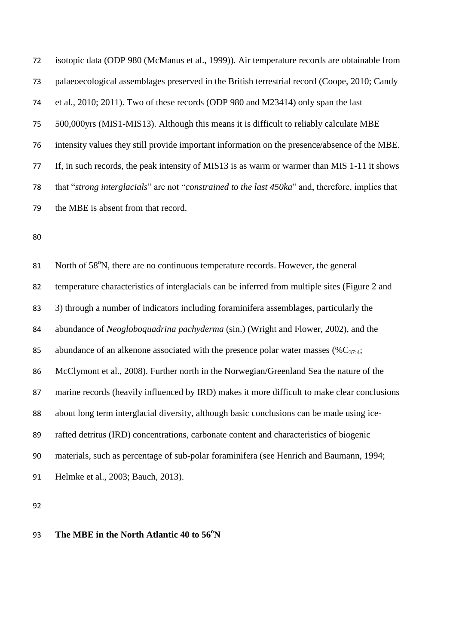isotopic data (ODP 980 (McManus et al., 1999)). Air temperature records are obtainable from palaeoecological assemblages preserved in the British terrestrial record (Coope, 2010; Candy et al., 2010; 2011). Two of these records (ODP 980 and M23414) only span the last 500,000yrs (MIS1-MIS13). Although this means it is difficult to reliably calculate MBE intensity values they still provide important information on the presence/absence of the MBE. If, in such records, the peak intensity of MIS13 is as warm or warmer than MIS 1-11 it shows that "*strong interglacials*" are not "*constrained to the last 450ka*" and, therefore, implies that the MBE is absent from that record.

81 North of 58°N, there are no continuous temperature records. However, the general temperature characteristics of interglacials can be inferred from multiple sites (Figure 2 and 3) through a number of indicators including foraminifera assemblages, particularly the abundance of *Neogloboquadrina pachyderma* (sin.) (Wright and Flower, 2002), and the 85 abundance of an alkenone associated with the presence polar water masses  $(\%C_{37.4};$  McClymont et al., 2008). Further north in the Norwegian/Greenland Sea the nature of the marine records (heavily influenced by IRD) makes it more difficult to make clear conclusions about long term interglacial diversity, although basic conclusions can be made using ice- rafted detritus (IRD) concentrations, carbonate content and characteristics of biogenic materials, such as percentage of sub-polar foraminifera (see Henrich and Baumann, 1994; Helmke et al., 2003; Bauch, 2013).

93 The MBE in the North Atlantic 40 to 56<sup>°</sup>N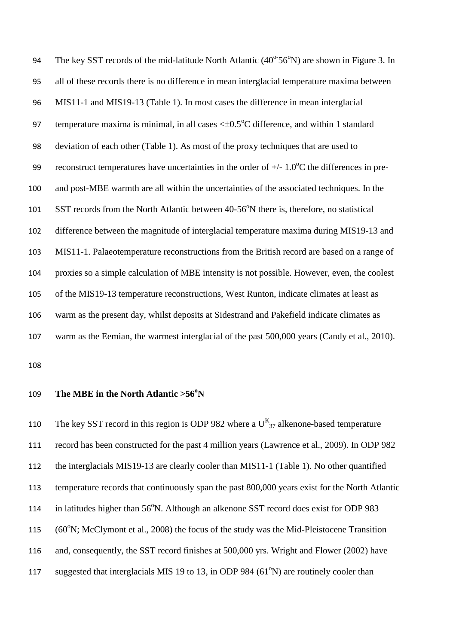94 The key SST records of the mid-latitude North Atlantic  $(40^{\circ}56^{\circ}N)$  are shown in Figure 3. In all of these records there is no difference in mean interglacial temperature maxima between MIS11-1 and MIS19-13 (Table 1). In most cases the difference in mean interglacial 97 temperature maxima is minimal, in all cases  $\leq 0.5^{\circ}$ C difference, and within 1 standard deviation of each other (Table 1). As most of the proxy techniques that are used to 99 reconstruct temperatures have uncertainties in the order of  $+/- 1.0\text{°C}$  the differences in pre- and post-MBE warmth are all within the uncertainties of the associated techniques. In the 101 SST records from the North Atlantic between 40-56<sup>°</sup>N there is, therefore, no statistical difference between the magnitude of interglacial temperature maxima during MIS19-13 and MIS11-1. Palaeotemperature reconstructions from the British record are based on a range of proxies so a simple calculation of MBE intensity is not possible. However, even, the coolest of the MIS19-13 temperature reconstructions, West Runton, indicate climates at least as warm as the present day, whilst deposits at Sidestrand and Pakefield indicate climates as warm as the Eemian, the warmest interglacial of the past 500,000 years (Candy et al., 2010).

109 The MBE in the North Atlantic > 56<sup>°</sup>N

110 The key SST record in this region is ODP 982 where a  $U_{37}^{K}$  alkenone-based temperature record has been constructed for the past 4 million years (Lawrence et al., 2009). In ODP 982 the interglacials MIS19-13 are clearly cooler than MIS11-1 (Table 1). No other quantified temperature records that continuously span the past 800,000 years exist for the North Atlantic 114 in latitudes higher than 56°N. Although an alkenone SST record does exist for ODP 983 115 (60°N; McClymont et al., 2008) the focus of the study was the Mid-Pleistocene Transition and, consequently, the SST record finishes at 500,000 yrs. Wright and Flower (2002) have 117 suggested that interglacials MIS 19 to 13, in ODP 984  $(61^{\circ}N)$  are routinely cooler than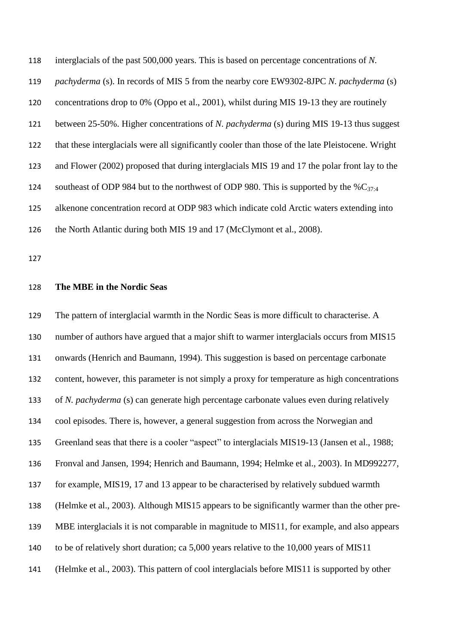interglacials of the past 500,000 years. This is based on percentage concentrations of *N. pachyderma* (s). In records of MIS 5 from the nearby core EW9302-8JPC *N. pachyderma* (s) concentrations drop to 0% (Oppo et al., 2001), whilst during MIS 19-13 they are routinely between 25-50%. Higher concentrations of *N. pachyderma* (s) during MIS 19-13 thus suggest that these interglacials were all significantly cooler than those of the late Pleistocene. Wright and Flower (2002) proposed that during interglacials MIS 19 and 17 the polar front lay to the 124 southeast of ODP 984 but to the northwest of ODP 980. This is supported by the  $\%C_{37:4}$  alkenone concentration record at ODP 983 which indicate cold Arctic waters extending into 126 the North Atlantic during both MIS 19 and 17 (McClymont et al., 2008).

### **The MBE in the Nordic Seas**

 The pattern of interglacial warmth in the Nordic Seas is more difficult to characterise. A number of authors have argued that a major shift to warmer interglacials occurs from MIS15 onwards (Henrich and Baumann, 1994). This suggestion is based on percentage carbonate content, however, this parameter is not simply a proxy for temperature as high concentrations of *N. pachyderma* (s) can generate high percentage carbonate values even during relatively cool episodes. There is, however, a general suggestion from across the Norwegian and Greenland seas that there is a cooler "aspect" to interglacials MIS19-13 (Jansen et al., 1988; Fronval and Jansen, 1994; Henrich and Baumann, 1994; Helmke et al., 2003). In MD992277, for example, MIS19, 17 and 13 appear to be characterised by relatively subdued warmth (Helmke et al., 2003). Although MIS15 appears to be significantly warmer than the other pre- MBE interglacials it is not comparable in magnitude to MIS11, for example, and also appears to be of relatively short duration; ca 5,000 years relative to the 10,000 years of MIS11 (Helmke et al., 2003). This pattern of cool interglacials before MIS11 is supported by other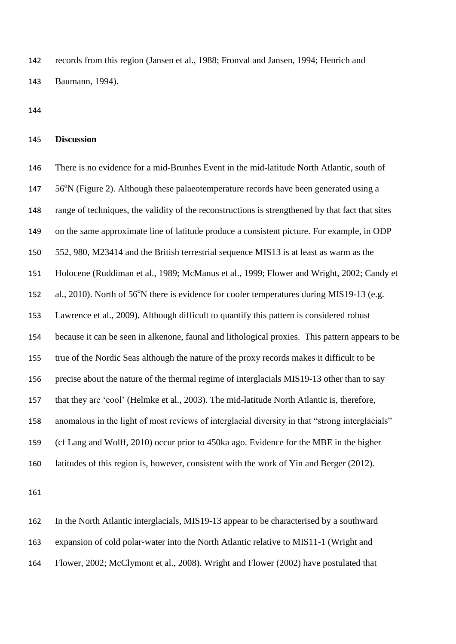records from this region (Jansen et al., 1988; Fronval and Jansen, 1994; Henrich and Baumann, 1994).

## **Discussion**

 There is no evidence for a mid-Brunhes Event in the mid-latitude North Atlantic, south of 147 56<sup>o</sup>N (Figure 2). Although these palaeotemperature records have been generated using a range of techniques, the validity of the reconstructions is strengthened by that fact that sites on the same approximate line of latitude produce a consistent picture. For example, in ODP 552, 980, M23414 and the British terrestrial sequence MIS13 is at least as warm as the Holocene (Ruddiman et al., 1989; McManus et al., 1999; Flower and Wright, 2002; Candy et 152 al., 2010). North of 56°N there is evidence for cooler temperatures during MIS19-13 (e.g. Lawrence et al., 2009). Although difficult to quantify this pattern is considered robust because it can be seen in alkenone, faunal and lithological proxies. This pattern appears to be true of the Nordic Seas although the nature of the proxy records makes it difficult to be precise about the nature of the thermal regime of interglacials MIS19-13 other than to say that they are 'cool' (Helmke et al., 2003). The mid-latitude North Atlantic is, therefore, anomalous in the light of most reviews of interglacial diversity in that "strong interglacials" (cf Lang and Wolff, 2010) occur prior to 450ka ago. Evidence for the MBE in the higher latitudes of this region is, however, consistent with the work of Yin and Berger (2012).

 In the North Atlantic interglacials, MIS19-13 appear to be characterised by a southward expansion of cold polar-water into the North Atlantic relative to MIS11-1 (Wright and Flower, 2002; McClymont et al., 2008). Wright and Flower (2002) have postulated that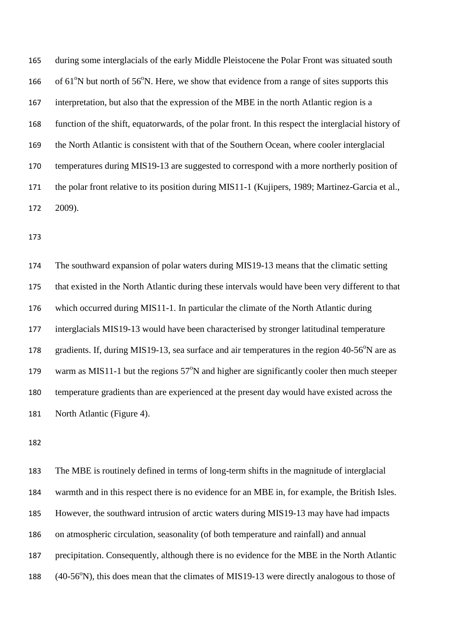during some interglacials of the early Middle Pleistocene the Polar Front was situated south 166 of  $61^{\circ}$ N but north of  $56^{\circ}$ N. Here, we show that evidence from a range of sites supports this interpretation, but also that the expression of the MBE in the north Atlantic region is a function of the shift, equatorwards, of the polar front. In this respect the interglacial history of the North Atlantic is consistent with that of the Southern Ocean, where cooler interglacial temperatures during MIS19-13 are suggested to correspond with a more northerly position of the polar front relative to its position during MIS11-1 (Kujipers, 1989; Martinez-Garcia et al., 2009).

 The southward expansion of polar waters during MIS19-13 means that the climatic setting that existed in the North Atlantic during these intervals would have been very different to that which occurred during MIS11-1. In particular the climate of the North Atlantic during interglacials MIS19-13 would have been characterised by stronger latitudinal temperature 178 gradients. If, during MIS19-13, sea surface and air temperatures in the region 40-56°N are as 179 warm as MIS11-1 but the regions  $57^{\circ}N$  and higher are significantly cooler then much steeper temperature gradients than are experienced at the present day would have existed across the North Atlantic (Figure 4).

 The MBE is routinely defined in terms of long-term shifts in the magnitude of interglacial warmth and in this respect there is no evidence for an MBE in, for example, the British Isles. However, the southward intrusion of arctic waters during MIS19-13 may have had impacts on atmospheric circulation, seasonality (of both temperature and rainfall) and annual precipitation. Consequently, although there is no evidence for the MBE in the North Atlantic 188 (40-56°N), this does mean that the climates of MIS19-13 were directly analogous to those of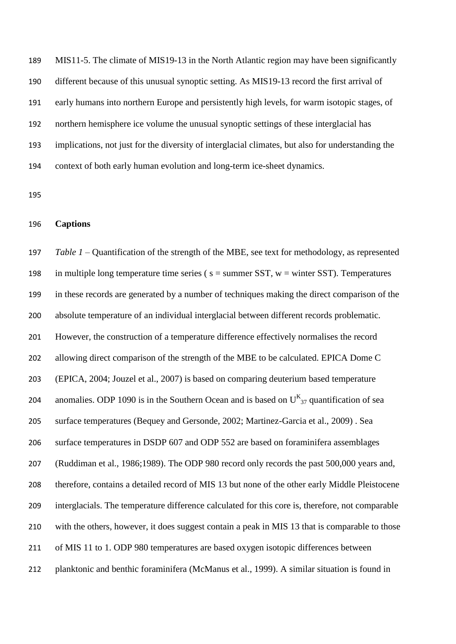MIS11-5. The climate of MIS19-13 in the North Atlantic region may have been significantly different because of this unusual synoptic setting. As MIS19-13 record the first arrival of early humans into northern Europe and persistently high levels, for warm isotopic stages, of northern hemisphere ice volume the unusual synoptic settings of these interglacial has implications, not just for the diversity of interglacial climates, but also for understanding the context of both early human evolution and long-term ice-sheet dynamics.

## **Captions**

 *Table 1 –* Quantification of the strength of the MBE, see text for methodology, as represented 198 in multiple long temperature time series ( $s =$  summer SST,  $w =$  winter SST). Temperatures in these records are generated by a number of techniques making the direct comparison of the absolute temperature of an individual interglacial between different records problematic. However, the construction of a temperature difference effectively normalises the record 202 allowing direct comparison of the strength of the MBE to be calculated. EPICA Dome C (EPICA, 2004; Jouzel et al., 2007) is based on comparing deuterium based temperature 204 anomalies. ODP 1090 is in the Southern Ocean and is based on  $U_{37}^{K}$  quantification of sea surface temperatures (Bequey and Gersonde, 2002; Martinez-Garcia et al., 2009) . Sea surface temperatures in DSDP 607 and ODP 552 are based on foraminifera assemblages (Ruddiman et al., 1986;1989). The ODP 980 record only records the past 500,000 years and, therefore, contains a detailed record of MIS 13 but none of the other early Middle Pleistocene interglacials. The temperature difference calculated for this core is, therefore, not comparable with the others, however, it does suggest contain a peak in MIS 13 that is comparable to those of MIS 11 to 1. ODP 980 temperatures are based oxygen isotopic differences between planktonic and benthic foraminifera (McManus et al., 1999). A similar situation is found in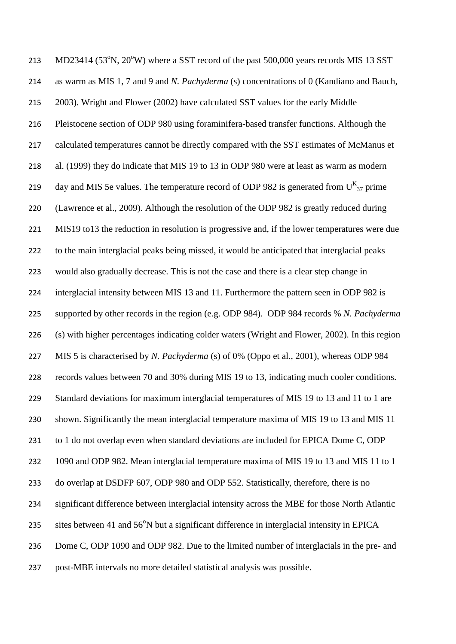213 MD23414 (53 $\degree$ N, 20 $\degree$ W) where a SST record of the past 500,000 years records MIS 13 SST as warm as MIS 1, 7 and 9 and *N. Pachyderma* (s) concentrations of 0 (Kandiano and Bauch, 2003). Wright and Flower (2002) have calculated SST values for the early Middle Pleistocene section of ODP 980 using foraminifera-based transfer functions. Although the calculated temperatures cannot be directly compared with the SST estimates of McManus et al. (1999) they do indicate that MIS 19 to 13 in ODP 980 were at least as warm as modern 219 day and MIS 5e values. The temperature record of ODP 982 is generated from  $U_{37}^{K}$  prime (Lawrence et al., 2009). Although the resolution of the ODP 982 is greatly reduced during MIS19 to13 the reduction in resolution is progressive and, if the lower temperatures were due to the main interglacial peaks being missed, it would be anticipated that interglacial peaks would also gradually decrease. This is not the case and there is a clear step change in interglacial intensity between MIS 13 and 11. Furthermore the pattern seen in ODP 982 is supported by other records in the region (e.g. ODP 984). ODP 984 records % *N. Pachyderma*  (s) with higher percentages indicating colder waters (Wright and Flower, 2002). In this region MIS 5 is characterised by *N. Pachyderma* (s) of 0% (Oppo et al., 2001), whereas ODP 984 records values between 70 and 30% during MIS 19 to 13, indicating much cooler conditions. 229 Standard deviations for maximum interglacial temperatures of MIS 19 to 13 and 11 to 1 are shown. Significantly the mean interglacial temperature maxima of MIS 19 to 13 and MIS 11 to 1 do not overlap even when standard deviations are included for EPICA Dome C, ODP 1090 and ODP 982. Mean interglacial temperature maxima of MIS 19 to 13 and MIS 11 to 1 do overlap at DSDFP 607, ODP 980 and ODP 552. Statistically, therefore, there is no significant difference between interglacial intensity across the MBE for those North Atlantic 235 sites between 41 and  $56^{\circ}$ N but a significant difference in interglacial intensity in EPICA 236 Dome C, ODP 1090 and ODP 982. Due to the limited number of interglacials in the pre- and post-MBE intervals no more detailed statistical analysis was possible.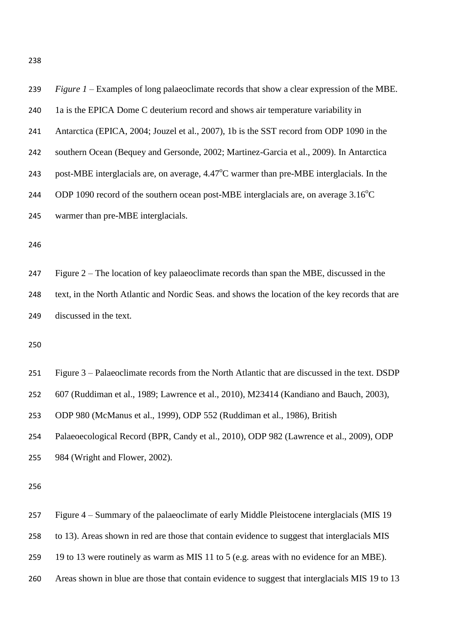| 239 | <i>Figure 1 – Examples of long palaeoclimate records that show a clear expression of the MBE.</i>  |
|-----|----------------------------------------------------------------------------------------------------|
| 240 | 1a is the EPICA Dome C deuterium record and shows air temperature variability in                   |
| 241 | Antarctica (EPICA, 2004; Jouzel et al., 2007), 1b is the SST record from ODP 1090 in the           |
| 242 | southern Ocean (Bequey and Gersonde, 2002; Martinez-Garcia et al., 2009). In Antarctica            |
| 243 | post-MBE interglacials are, on average, $4.47^{\circ}$ C warmer than pre-MBE interglacials. In the |
| 244 | ODP 1090 record of the southern ocean post-MBE interglacials are, on average $3.16^{\circ}$ C      |
| 245 | warmer than pre-MBE interglacials.                                                                 |
| 246 |                                                                                                    |

 Figure 2 – The location of key palaeoclimate records than span the MBE, discussed in the text, in the North Atlantic and Nordic Seas. and shows the location of the key records that are discussed in the text.

 Figure 3 – Palaeoclimate records from the North Atlantic that are discussed in the text. DSDP 607 (Ruddiman et al., 1989; Lawrence et al., 2010), M23414 (Kandiano and Bauch, 2003), ODP 980 (McManus et al., 1999), ODP 552 (Ruddiman et al., 1986), British Palaeoecological Record (BPR, Candy et al., 2010), ODP 982 (Lawrence et al., 2009), ODP 984 (Wright and Flower, 2002).

Figure 4 – Summary of the palaeoclimate of early Middle Pleistocene interglacials (MIS 19

to 13). Areas shown in red are those that contain evidence to suggest that interglacials MIS

- 19 to 13 were routinely as warm as MIS 11 to 5 (e.g. areas with no evidence for an MBE).
- Areas shown in blue are those that contain evidence to suggest that interglacials MIS 19 to 13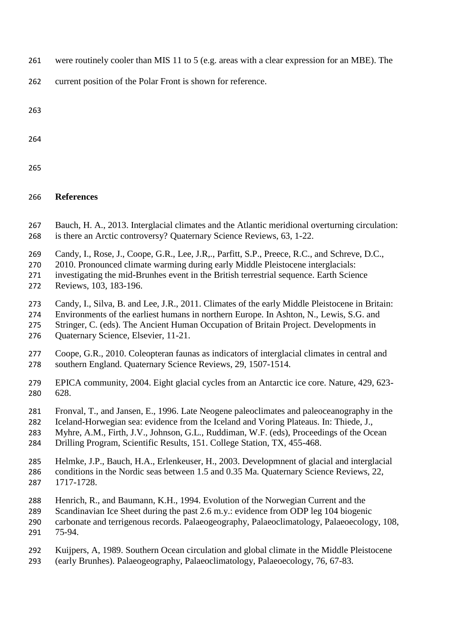- were routinely cooler than MIS 11 to 5 (e.g. areas with a clear expression for an MBE). The
- current position of the Polar Front is shown for reference.

| v<br>I<br>. .      |
|--------------------|
| I<br>۰,<br>×<br>۰. |

- 
- 

# **References**

- Bauch, H. A., 2013. Interglacial climates and the Atlantic meridional overturning circulation:
- is there an Arctic controversy? Quaternary Science Reviews, 63, 1-22.
- Candy, I., Rose, J., Coope, G.R., Lee, J.R,., Parfitt, S.P., Preece, R.C., and Schreve, D.C.,
- 2010. Pronounced climate warming during early Middle Pleistocene interglacials:
- investigating the mid-Brunhes event in the British terrestrial sequence. Earth Science Reviews, 103, 183-196.
- Candy, I., Silva, B. and Lee, J.R., 2011. Climates of the early Middle Pleistocene in Britain:
- Environments of the earliest humans in northern Europe. In Ashton, N., Lewis, S.G. and
- 275 Stringer, C. (eds). The Ancient Human Occupation of Britain Project. Developments in
- Quaternary Science, Elsevier, 11-21.
- Coope, G.R., 2010. Coleopteran faunas as indicators of interglacial climates in central and southern England. Quaternary Science Reviews, 29, 1507-1514.
- EPICA community, 2004. Eight glacial cycles from an Antarctic ice core. Nature, 429, 623- 628.
- Fronval, T., and Jansen, E., 1996. Late Neogene paleoclimates and paleoceanography in the
- Iceland-Horwegian sea: evidence from the Iceland and Voring Plateaus. In: Thiede, J.,
- Myhre, A.M., Firth, J.V., Johnson, G.L., Ruddiman, W.F. (eds), Proceedings of the Ocean
- Drilling Program, Scientific Results, 151. College Station, TX, 455-468.
- Helmke, J.P., Bauch, H.A., Erlenkeuser, H., 2003. Developmnent of glacial and interglacial conditions in the Nordic seas between 1.5 and 0.35 Ma. Quaternary Science Reviews, 22, 1717-1728.
- Henrich, R., and Baumann, K.H., 1994. Evolution of the Norwegian Current and the
- Scandinavian Ice Sheet during the past 2.6 m.y.: evidence from ODP leg 104 biogenic
- carbonate and terrigenous records. Palaeogeography, Palaeoclimatology, Palaeoecology, 108, 75-94.
- Kuijpers, A, 1989. Southern Ocean circulation and global climate in the Middle Pleistocene
- (early Brunhes). Palaeogeography, Palaeoclimatology, Palaeoecology, 76, 67-83.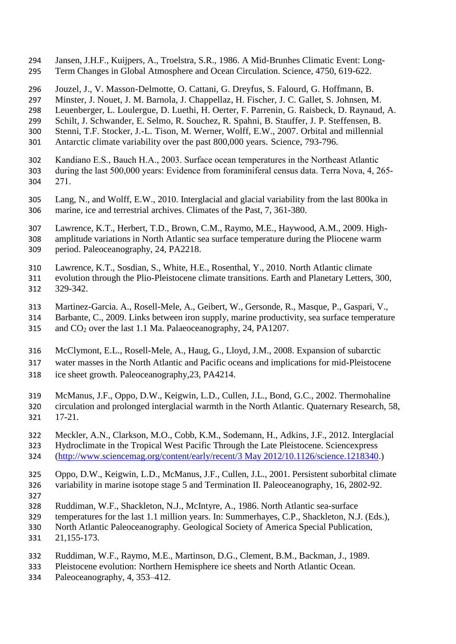- Jansen, J.H.F., Kuijpers, A., Troelstra, S.R., 1986. A Mid-Brunhes Climatic Event: Long-Term Changes in Global Atmosphere and Ocean Circulation. Science, 4750, 619-622.
- Jouzel, J., V. Masson-Delmotte, O. Cattani, G. Dreyfus, S. Falourd, G. Hoffmann, B.
- Minster, J. Nouet, J. M. Barnola, J. Chappellaz, H. Fischer, J. C. Gallet, S. Johnsen, M.
- Leuenberger, L. Loulergue, D. Luethi, H. Oerter, F. Parrenin, G. Raisbeck, D. Raynaud, A.
- Schilt, J. Schwander, E. Selmo, R. Souchez, R. Spahni, B. Stauffer, J. P. Steffensen, B. Stenni, T.F. Stocker, J.-L. Tison, M. Werner, Wolff, E.W., 2007. Orbital and millennial
- Antarctic climate variability over the past 800,000 years. Science, 793-796.
- Kandiano E.S., Bauch H.A., 2003. Surface ocean temperatures in the Northeast Atlantic during the last 500,000 years: Evidence from foraminiferal census data. Terra Nova, 4, 265-
- 271.
- Lang, N., and Wolff, E.W., 2010. Interglacial and glacial variability from the last 800ka in marine, ice and terrestrial archives. Climates of the Past, 7, 361-380.
- Lawrence, K.T., Herbert, T.D., Brown, C.M., Raymo, M.E., Haywood, A.M., 2009. High-
- amplitude variations in North Atlantic sea surface temperature during the Pliocene warm period. Paleoceanography, 24, PA2218.
- Lawrence, K.T., Sosdian, S., White, H.E., Rosenthal, Y., 2010. North Atlantic climate
- evolution through the Plio-Pleistocene climate transitions. Earth and Planetary Letters, 300, 329-342.
- Martinez-Garcia. A., Rosell-Mele, A., Geibert, W., Gersonde, R., Masque, P., Gaspari, V.,
- Barbante, C., 2009. Links between iron supply, marine productivity, sea surface temperature 315 and  $CO<sub>2</sub>$  over the last 1.1 Ma. Palaeoceanography, 24, PA1207.
- 
- McClymont, E.L., Rosell-Mele, A., Haug, G., Lloyd, J.M., 2008. [Expansion of subarctic](http://www.dur.ac.uk/geography/staff/geogstaffhidden/?mode=pdetail&id=9778&sid=9778&pdetail=58842)
- [water masses in the North Atlantic and Pacific oceans and implications for mid-Pleistocene](http://www.dur.ac.uk/geography/staff/geogstaffhidden/?mode=pdetail&id=9778&sid=9778&pdetail=58842)
- [ice sheet growth.](http://www.dur.ac.uk/geography/staff/geogstaffhidden/?mode=pdetail&id=9778&sid=9778&pdetail=58842) Paleoceanography,23, PA4214.
- McManus, J.F., Oppo, D.W., Keigwin, L.D., Cullen, J.L., Bond, G.C., 2002. Thermohaline circulation and prolonged interglacial warmth in the North Atlantic. Quaternary Research, 58, 17-21.
- Meckler, A.N., Clarkson, M.O., Cobb, K.M., Sodemann, H., Adkins, J.F., 2012. Interglacial
- Hydroclimate in the Tropical West Pacific Through the Late Pleistocene. Sciencexpress
- [\(http://www.sciencemag.org/content/early/recent/3 May 2012/10.1126/science.1218340.](http://www.sciencemag.org/content/early/recent/3%20May%202012/10.1126/science.1218340))
- Oppo, D.W., Keigwin, L.D., McManus, J.F., Cullen, J.L., 2001. Persistent suborbital climate
- variability in marine isotope stage 5 and Termination II. Paleoceanography, 16, 2802-92.
- 
- Ruddiman, W.F., Shackleton, N.J., McIntyre, A., 1986. North Atlantic sea-surface
- temperatures for the last 1.1 million years. In: Summerhayes, C.P., Shackleton, N.J. (Eds.),
- North Atlantic Paleoceanography. Geological Society of America Special Publication, 21,155-173.
- Ruddiman, W.F., Raymo, M.E., Martinson, D.G., Clement, B.M., Backman, J., 1989.
- Pleistocene evolution: Northern Hemisphere ice sheets and North Atlantic Ocean.
- Paleoceanography, 4, 353–412.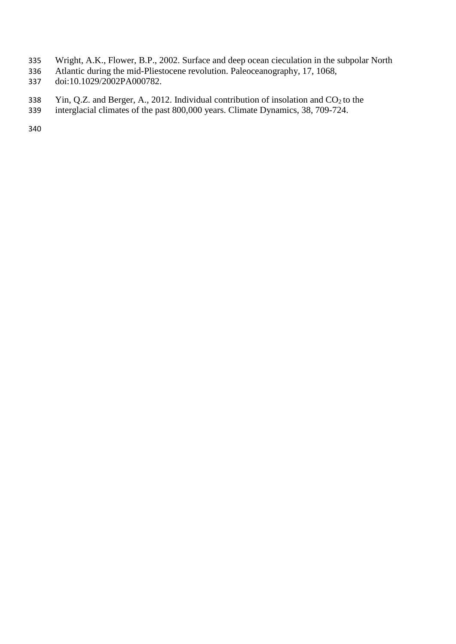- Wright, A.K., Flower, B.P., 2002. Surface and deep ocean cieculation in the subpolar North
- Atlantic during the mid-Pliestocene revolution. Paleoceanography, 17, 1068,
- doi:10.1029/2002PA000782.
- 338 Yin, Q.Z. and Berger, A., 2012. Individual contribution of insolation and  $CO<sub>2</sub>$  to the
- interglacial climates of the past 800,000 years. Climate Dynamics, 38, 709-724.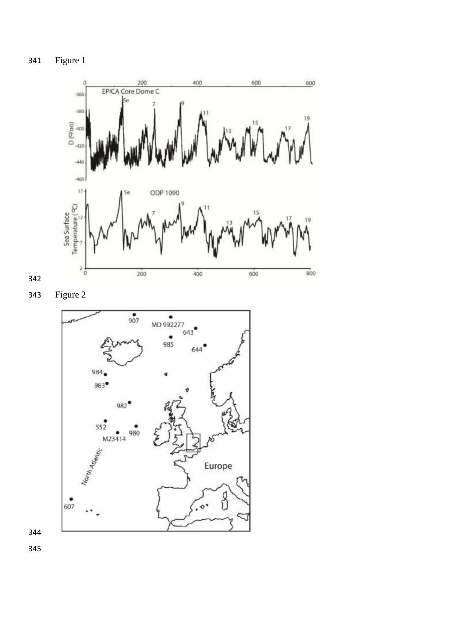Figure 1



Figure 2

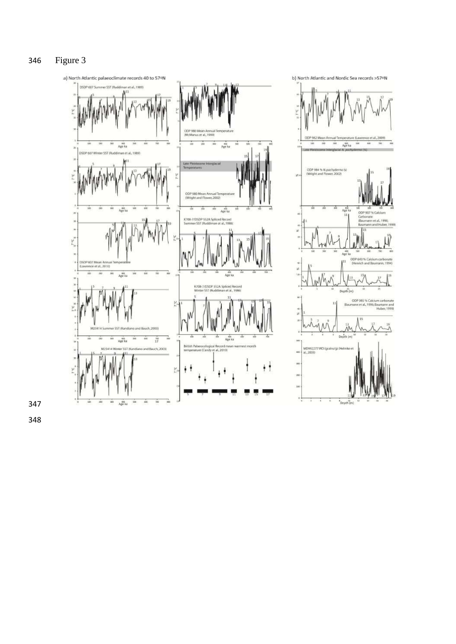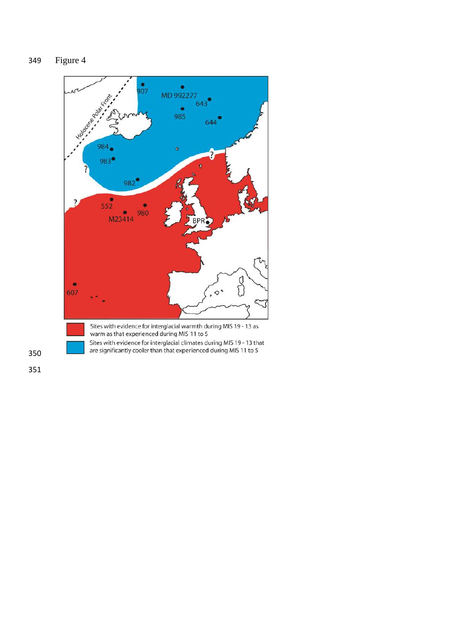# Figure 4